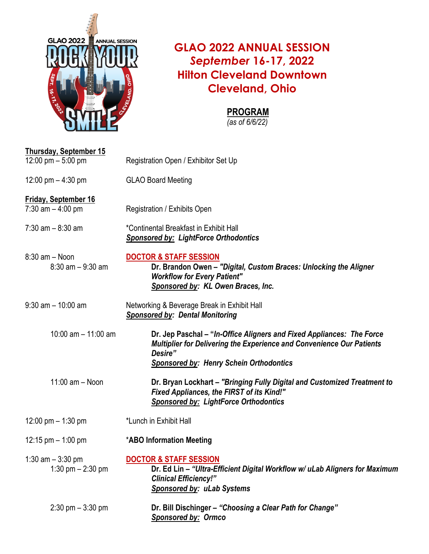

## **GLAO 2022 ANNUAL SESSION** *September* **16-17, 2022 Hilton Cleveland Downtown Cleveland, Ohio**

## **PROGRAM**

*(as of 6/6/22)*

| <b>Thursday, September 15</b>                      |                                                                                                                                                                                                             |
|----------------------------------------------------|-------------------------------------------------------------------------------------------------------------------------------------------------------------------------------------------------------------|
| 12:00 pm $-$ 5:00 pm                               | Registration Open / Exhibitor Set Up                                                                                                                                                                        |
| 12:00 pm $-$ 4:30 pm                               | <b>GLAO Board Meeting</b>                                                                                                                                                                                   |
| <b>Friday, September 16</b><br>7:30 am $-$ 4:00 pm | Registration / Exhibits Open                                                                                                                                                                                |
| $7:30$ am $-8:30$ am                               | *Continental Breakfast in Exhibit Hall<br><b>Sponsored by: LightForce Orthodontics</b>                                                                                                                      |
| $8:30$ am $-$ Noon<br>$8:30$ am $-9:30$ am         | <b>DOCTOR &amp; STAFF SESSION</b><br>Dr. Brandon Owen - "Digital, Custom Braces: Unlocking the Aligner<br><b>Workflow for Every Patient"</b><br>Sponsored by: KL Owen Braces, Inc.                          |
| $9:30$ am $-10:00$ am                              | Networking & Beverage Break in Exhibit Hall<br><b>Sponsored by: Dental Monitoring</b>                                                                                                                       |
| 10:00 am $-$ 11:00 am                              | Dr. Jep Paschal – "In-Office Aligners and Fixed Appliances: The Force<br>Multiplier for Delivering the Experience and Convenience Our Patients<br>Desire"<br><b>Sponsored by: Henry Schein Orthodontics</b> |
| $11:00$ am $-$ Noon                                | Dr. Bryan Lockhart - "Bringing Fully Digital and Customized Treatment to<br>Fixed Appliances, the FIRST of its Kind!"<br><b>Sponsored by: LightForce Orthodontics</b>                                       |
| 12:00 pm $-$ 1:30 pm                               | *Lunch in Exhibit Hall                                                                                                                                                                                      |
| 12:15 pm $-$ 1:00 pm                               | <b>*ABO Information Meeting</b>                                                                                                                                                                             |
| 1:30 $am - 3:30 pm$<br>1:30 pm $- 2:30$ pm         | <b>DOCTOR &amp; STAFF SESSION</b><br>Dr. Ed Lin - "Ultra-Efficient Digital Workflow w/ uLab Aligners for Maximum<br><b>Clinical Efficiency!"</b><br>Sponsored by: uLab Systems                              |
| $2:30$ pm $-3:30$ pm                               | Dr. Bill Dischinger – "Choosing a Clear Path for Change"<br><b>Sponsored by: Ormco</b>                                                                                                                      |